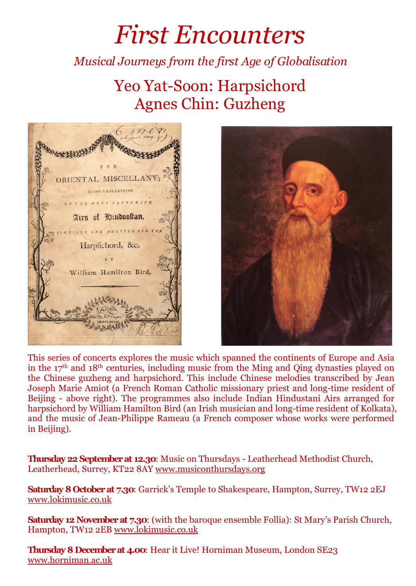## *First Encounters*

## *Musical Journeys from the first Age of Globalisation*

## Yeo Yat-Soon: Harpsichord Agnes Chin: Guzheng





This series of concerts explores the music which spanned thecontinents of Europe and Asia in the  $17<sup>th</sup>$  and  $18<sup>th</sup>$  centuries, including music from the Ming and Qing dynasties played on the Chinese guzheng and harpsichord. This include Chinese melodies transcribed by Jean Joseph Marie Amiot (a French Roman Catholic missionary priestand long-time resident of Beijing - above right). The programmes also include Indian Hindustani Airs arranged for harpsichord by William Hamilton Bird (an Irish musician and long-time resident of Kolkata), and themusic of Jean-Philippe Rameau (a French composer whose works were performed in Beijing).

**Thursday 22 Septemberat 12.30**: Music on Thursdays - Leatherhead Methodist Church, Leatherhead, Surrey, KT22 8AY www.musiconthursdays.org

**Saturday 8 Octoberat 7.30**: Garrick's Temple to Shakespeare, Hampton, Surrey, TW12 2EJ www.lokimusic.co.uk

**Saturday 12 Novemberat 7.30**: (with the baroque ensemble Follia): St Mary's Parish Church, Hampton, TW12 2EB www.lokimusic.co.uk

**Thursday 8 Decemberat 4.00**: Hear it Live! Horniman Museum, London SE23 www.horniman.ac.uk